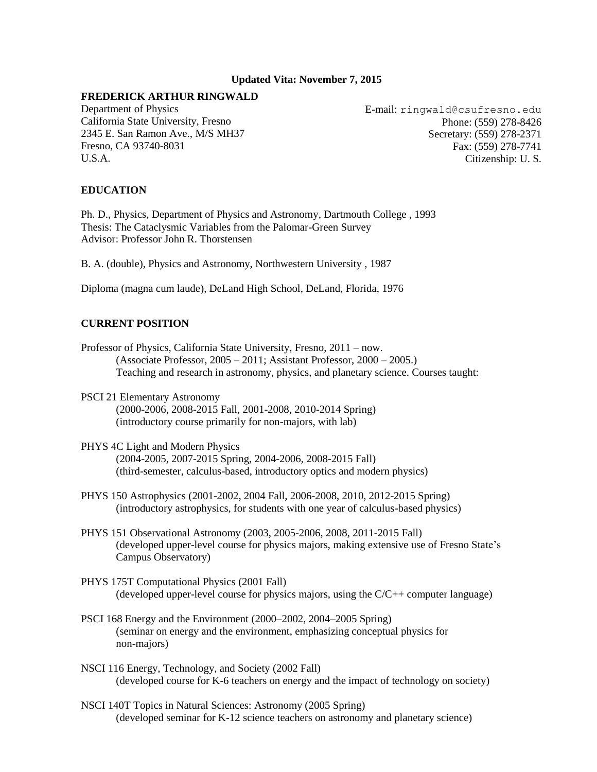## **Updated Vita: November 7, 2015**

## **FREDERICK ARTHUR RINGWALD**

[Department of Physics](http://physics.csufresno.edu/) [California State University, Fresno](http://www.csufresno.edu/) 2345 E. San Ramon Ave., M/S MH37 Fresno, CA 93740-8031 U.S.A.

E-mail: ringwald@csufresno.edu Phone: (559) 278-8426 Secretary: (559) 278-2371 Fax: (559) 278-7741 Citizenship: U. S.

## **EDUCATION**

Ph. D., Physics, [Department of Physics and Astronomy, Dartmouth College](http://www.dartmouth.edu/artsci/physics/index.html) , 1993 Thesis: [The Cataclysmic Variables from the Palomar-Green Survey](http://adsabs.harvard.edu/cgi-bin/nph-bib_query?1993PASP%2E%2E105%2E%2E805R&db_key=AST) Advisor: [Professor John R. Thorstensen](http://www.dartmouth.edu/artsci/physics/faculty/thorstensen.html) 

B. A. (double), [Physics and Astronomy, Northwestern University](http://www.astro.nwu.edu/) , 1987

Diploma (magna cum laude), DeLand High School, DeLand, Florida, 1976

# **CURRENT POSITION**

- Professor of Physics, California State University, Fresno, 2011 now. (Associate Professor, 2005 – 2011; Assistant Professor, 2000 – 2005.) Teaching and research in astronomy, physics, and planetary science. Courses taught:
- [PSCI 21 Elementary Astronomy](http://zimmer.csufresno.edu/~fringwal/psci21.html)  (2000-2006, 2008-2015 Fall, 2001-2008, 2010-2014 Spring) (introductory course primarily for non-majors, with lab)
- PHYS 4C Light and Modern Physics (2004-2005, 2007-2015 Spring, 2004-2006, 2008-2015 Fall) (third-semester, calculus-based, introductory optics and modern physics)
- [PHYS 150 Astrophysics](http://zimmer.csufresno.edu/~fringwal/phys150.html) (2001-2002, 2004 Fall, 2006-2008, 2010, 2012-2015 Spring) (introductory astrophysics, for students with one year of calculus-based physics)
- PHYS 151 Observational Astronomy (2003, 2005-2006, 2008, 2011-2015 Fall) (developed upper-level course for physics majors, making extensive use of Fresno State's Campus Observatory)
- [PHYS 175T Computational Physics](http://zimmer.csufresno.edu/~fringwal/phys175t.html) (2001 Fall) (developed upper-level course for physics majors, using the C/C++ computer language)
- [PSCI 168 Energy and the Environment](http://zimmer.csufresno.edu/~fringwal/ps168.html) (2000–2002, 2004–2005 Spring) (seminar on energy and the environment, emphasizing conceptual physics for non-majors)
- [NSCI 116 Energy, Technology, and Society](http://zimmer.csufresno.edu/~fringwal/nsci116.html) (2002 Fall) (developed course for K-6 teachers on energy and the impact of technology on society)
- NSCI 140T Topics in Natural Sciences: Astronomy (2005 Spring) (developed seminar for K-12 science teachers on astronomy and planetary science)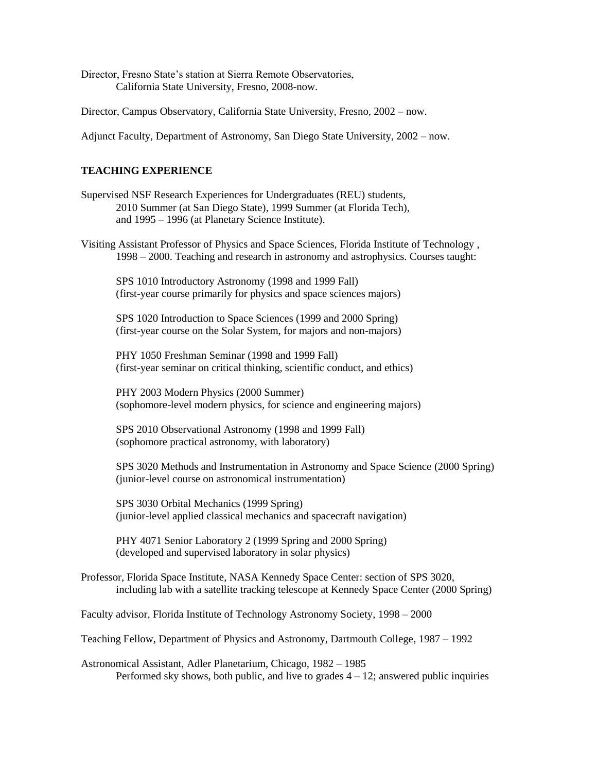Director, Fresno State's station at Sierra Remote Observatories, California State University, Fresno, 2008-now.

Director, Campus Observatory, California State University, Fresno, 2002 – now.

Adjunct Faculty, Department of Astronomy, San Diego State University, 2002 – now.

# **TEACHING EXPERIENCE**

- Supervise[d NSF Research Experiences for Undergraduates \(REU\)](http://astro.fit.edu/sara-reu/sara-reu.html) students, 2010 Summer (at San Diego State), 1999 Summer (at Florida Tech), and 1995 – 1996 (at Planetary Science Institute).
- Visiting Assistant Professor of Physics and Space Sciences, [Florida Institute of Technology](http://www.fit.edu/) , 1998 – 2000. Teaching and research in astronomy and astrophysics. Courses taught:

[SPS 1010 Introductory Astronomy](http://zimmer.csufresno.edu/~fringwal/f99sps1010.html) (1998 and 1999 Fall) (first-year course primarily for physics and space sciences majors)

[SPS 1020 Introduction to Space Sciences](http://zimmer.csufresno.edu/~fringwal/sps1020.html) (1999 and 2000 Spring) (first-year course on the Solar System, for majors and non-majors)

[PHY 1050 Freshman Seminar](http://zimmer.csufresno.edu/~fringwal/phy1050.html) (1998 and 1999 Fall) (first-year seminar on critical thinking, scientific conduct, and ethics)

[PHY 2003 Modern Physics](http://zimmer.csufresno.edu/~fringwal/phy2003.html) (2000 Summer) (sophomore-level modern physics, for science and engineering majors)

[SPS 2010 Observational Astronomy](http://zimmer.csufresno.edu/~fringwal/f99sps2010.html) (1998 and 1999 Fall) (sophomore practical astronomy, with laboratory)

[SPS 3020 Methods and Instrumentation in Astronomy and Space Science](http://zimmer.csufresno.edu/~fringwal/sps3020.html) (2000 Spring) (junior-level course on astronomical instrumentation)

[SPS 3030 Orbital Mechanics](http://zimmer.csufresno.edu/~fringwal/sps3030.html) (1999 Spring) (junior-level applied classical mechanics and spacecraft navigation)

PHY 4071 Senior Laboratory 2 (1999 Spring and 2000 Spring) (developed and supervised laboratory in solar physics)

Professor, [Florida Space Institute,](http://fsi.ucf.edu/) [NASA Kennedy Space Center:](http://www.ksc.nasa.gov/) section of [SPS 3020,](http://zimmer.csufresno.edu/~fringwal/sps3020.html) including lab with a satellite tracking telescope at Kennedy Space Center (2000 Spring)

Faculty advisor[, Florida Institute of Technology Astronomy Society,](http://pss.fit.edu/~fitas/) 1998 – 2000

Teaching Fellow[, Department of Physics and Astronomy, Dartmouth College,](http://www.dartmouth.edu/artsci/physics/index.html) 1987 – 1992

Astronomical Assistant, [Adler Planetarium,](http://www.adlerplanetarium.org/) Chicago, 1982 – 1985 Performed sky shows, both public, and live to grades  $4 - 12$ ; answered public inquiries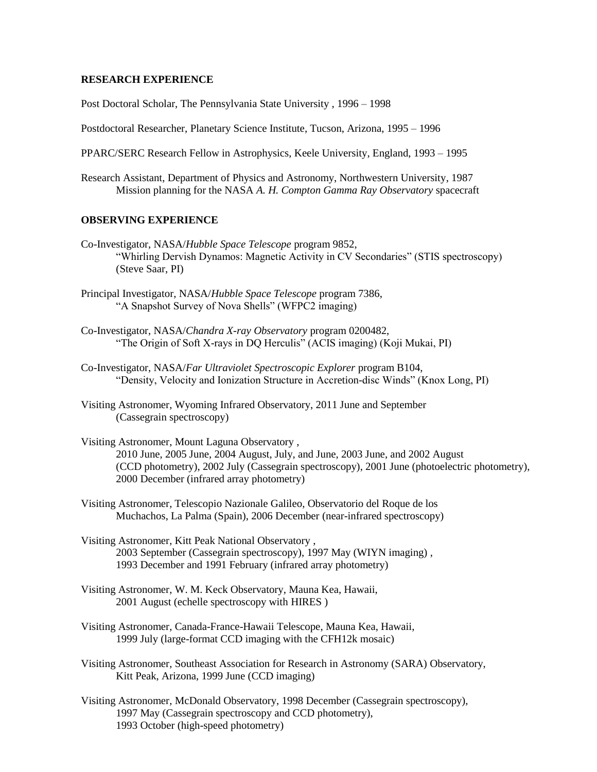## **RESEARCH EXPERIENCE**

Post Doctoral Scholar, [The Pennsylvania State University](http://www.astro.psu.edu/) , 1996 – 1998

Postdoctoral Researcher, [Planetary Science Institute,](http://www.psi.edu/) Tucson, Arizona, 1995 – 1996

[PPARC/SERC](http://www.pparc.ac.uk/index.html) Research Fellow in Astrophysics, [Keele University,](http://www.astro.keele.ac.uk/) England, 1993 – 1995

Research Assistant, [Department of Physics and Astronomy, Northwestern University,](http://www.astro.nwu.edu/) 1987 Mission planning for the NASA *A. H. Compton Gamma Ray Observatory* spacecraft

# **OBSERVING EXPERIENCE**

- Co-Investigator, NASA/*[Hubble Space Telescope](http://www.stsci.edu/)* [program 9852,](http://presto.stsci.edu/cgi-bin/get-proposal-info?7386)  ["Whirling Dervish Dynamos: Magnetic Activity in CV Secondaries" \(STIS spectroscopy\)](http://presto.stsci.edu/cgi-bin/get-proposal-info?7386) (Steve Saar, PI)
- Principal Investigator, NASA/*[Hubble Space Telescope](http://www.stsci.edu/)* [program 7386,](http://presto.stsci.edu/cgi-bin/get-proposal-info?7386)  ["A Snapshot Survey of Nova Shells" \(WFPC2 imaging\)](http://presto.stsci.edu/cgi-bin/get-proposal-info?7386)
- Co-Investigator, NASA/*[Chandra X-ray Observatory](http://chandra.harvard.edu/)* program 0200482, "The Origin of Soft X-rays in DQ Herculis" (ACIS imaging) (Koji Mukai, PI)
- Co-Investigator, NASA/*[Far Ultraviolet Spectroscopic Explorer](http://fuse.pha.jhu.edu/overview/mission_ov.html)* program B104, "Density, Velocity and Ionization Structure in Accretion-disc Winds" (Knox Long, PI)
- Visiting Astronomer, Wyoming Infrared Observatory, 2011 June and September (Cassegrain spectroscopy)
- Visiting Astronomer, [Mount Laguna Observatory](http://mintaka.sdsu.edu/facilities/Facilities.html) , 2010 June, 2005 June, 2004 August, July, and June, 2003 June, and 2002 August (CCD photometry), 2002 July (Cassegrain spectroscopy), 2001 June (photoelectric photometry), 2000 December (infrared array photometry)
- Visiting Astronomer, Telescopio Nazionale Galileo, Observatorio del Roque de los Muchachos, La Palma (Spain), 2006 December (near-infrared spectroscopy)
- Visiting Astronomer, [Kitt Peak National Observatory](http://www.noao.edu/kpno/kpno.html) , 2003 September (Cassegrain spectroscopy), [1997 May \(WIYN imaging\)](http://www.noao.edu/wiyn/wiynis.html) , 1993 December and 1991 February (infrared array photometry)
- Visiting Astronomer, [W. M. Keck Observatory,](http://www2.keck.hawaii.edu:3636/realpublic/gen_info/gen_info.html) Mauna Kea, Hawaii, 2001 August (echelle spectroscopy with [HIRES](http://www2.keck.hawaii.edu:3636/realpublic/inst/hires/hires.html) )
- Visiting Astronomer, [Canada-France-Hawaii Telescope,](http://www.cfht.hawaii.edu/) Mauna Kea, Hawaii, 1999 July (large-format CCD imaging with the CFH12k mosaic)
- Visiting Astronomer, [Southeast Association for Research in Astronomy \(SARA\) Observatory,](http://astro.fit.edu/sara/sara.html) Kitt Peak, Arizona, 1999 June (CCD imaging)
- Visiting Astronomer, [McDonald Observatory,](http://www.as.utexas.edu/mcdonald/mcdonald.html) 1998 December (Cassegrain spectroscopy), 1997 May (Cassegrain spectroscopy and CCD photometry), 1993 October (high-speed photometry)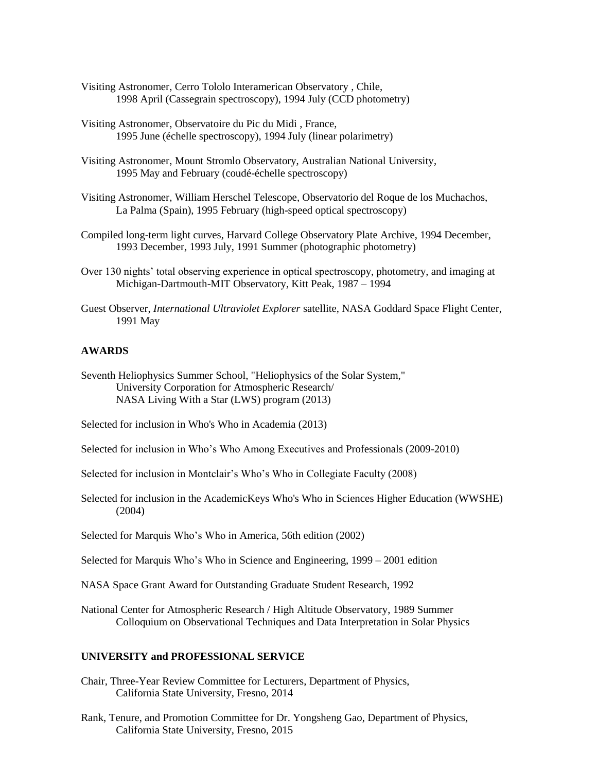- Visiting Astronomer, [Cerro Tololo Interamerican Observatory](http://www.ctio.noao.edu/ctio.html) , Chile, 1998 April (Cassegrain spectroscopy), 1994 July (CCD photometry)
- Visiting Astronomer, [Observatoire du Pic du Midi](http://www.obs-mip.fr/omp/pic/) , France, 1995 June (échelle spectroscopy), 1994 July (linear polarimetry)
- Visiting Astronomer, [Mount Stromlo Observatory, Australian National University,](http://msowww.anu.edu.au/) 1995 May and February (coudé-échelle spectroscopy)
- Visiting Astronomer, [William Herschel Telescope, Observatorio del Roque de los Muchachos,](http://ing.iac.es/welcome.html) La Palma (Spain), 1995 February (high-speed optical spectroscopy)
- Compiled long-term light curves, [Harvard College Observatory](http://cfa-www.harvard.edu/hco/index.html) Plate Archive, 1994 December, 1993 December, 1993 July, 1991 Summer (photographic photometry)
- Over 130 nights' total observing experience in optical spectroscopy, photometry, and imaging at [Michigan-Dartmouth-MIT Observatory,](http://www.astro.lsa.umich.edu/obs/mdm/mdm.html) Kitt Peak, 1987 – 1994
- Guest Observer, *International Ultraviolet Explorer* satellite[, NASA Goddard Space Flight Center,](http://pao.gsfc.nasa.gov/gsfc.html)  [1991 May](http://pao.gsfc.nasa.gov/gsfc.html)

### **AWARDS**

- Seventh Heliophysics Summer School, "Heliophysics of the Solar System," University Corporation for Atmospheric Research/ NASA Living With a Star (LWS) program (2013)
- Selected for inclusion in Who's Who in Academia (2013)
- Selected for inclusion in Who's Who Among Executives and Professionals (2009-2010)
- Selected for inclusion in Montclair's Who's Who in Collegiate Faculty (2008)
- Selected for inclusion in the AcademicKeys Who's Who in Sciences Higher Education (WWSHE) (2004)

Selected for [Marquis Who's Who](http://www.marquiswhoswho.com/) in America, 56th edition (2002)

Selected for [Marquis Who's Who](http://www.marquiswhoswho.com/) in Science and Engineering, 1999 – 2001 edition

[NASA](http://www.nasa.gov/) [Space Grant](http://calspace.ucsd.edu/spacegrant/) Award for Outstanding Graduate Student Research, 1992

[National Center for Atmospheric Research](http://www.ncar.ucar.edu/althome.html) / [High Altitude Observatory,](http://hao.ucar.edu/) 1989 Summer Colloquium on Observational Techniques and Data Interpretation in Solar Physics

#### **UNIVERSITY and PROFESSIONAL SERVICE**

- Chair, Three-Year Review Committee for Lecturers, Department of Physics, California State University, Fresno, 2014
- Rank, Tenure, and Promotion Committee for Dr. Yongsheng Gao, Department of Physics, California State University, Fresno, 2015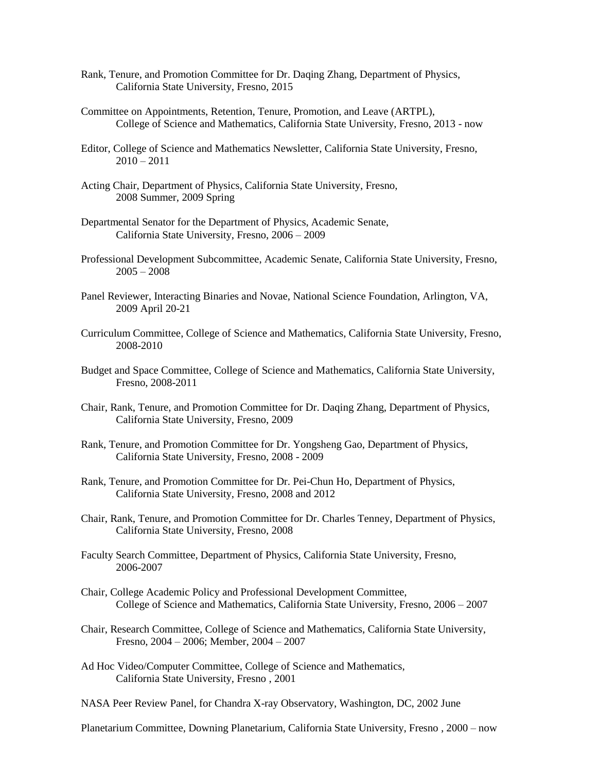- Rank, Tenure, and Promotion Committee for Dr. Daqing Zhang, Department of Physics, California State University, Fresno, 2015
- Committee on Appointments, Retention, Tenure, Promotion, and Leave (ARTPL), College of Science and Mathematics, California State University, Fresno, 2013 - now
- Editor, College of Science and Mathematics Newsletter, California State University, Fresno,  $2010 - 2011$
- Acting Chair, Department of Physics, California State University, Fresno, 2008 Summer, 2009 Spring
- Departmental Senator for the Department of Physics, Academic Senate, California State University, Fresno, 2006 – 2009
- Professional Development Subcommittee, Academic Senate, California State University, Fresno,  $2005 - 2008$
- Panel Reviewer, Interacting Binaries and Novae, National Science Foundation, Arlington, VA, 2009 April 20-21
- Curriculum Committee, College of Science and Mathematics, California State University, Fresno, 2008-2010
- Budget and Space Committee, College of Science and Mathematics, California State University, Fresno, 2008-2011
- Chair, Rank, Tenure, and Promotion Committee for Dr. Daqing Zhang, Department of Physics, California State University, Fresno, 2009
- Rank, Tenure, and Promotion Committee for Dr. Yongsheng Gao, Department of Physics, California State University, Fresno, 2008 - 2009
- Rank, Tenure, and Promotion Committee for Dr. Pei-Chun Ho, Department of Physics, California State University, Fresno, 2008 and 2012
- Chair, Rank, Tenure, and Promotion Committee for Dr. Charles Tenney, Department of Physics, California State University, Fresno, 2008
- Faculty Search Committee, Department of Physics, California State University, Fresno, 2006-2007
- Chair, College Academic Policy and Professional Development Committee, College of Science and Mathematics, California State University, Fresno, 2006 – 2007
- Chair, Research Committee, College of Science and Mathematics, California State University, Fresno, 2004 – 2006; Member, 2004 – 2007
- Ad Hoc Video/Computer Committee, College of Science and Mathematics, [California State University, Fresno](http://www.csufresno.edu/) , 2001
- NASA Peer Review Panel, for [Chandra X-ray Observatory,](http://chandra.harvard.edu/) Washington, DC, 2002 June

Planetarium Committee, [Downing Planetarium,](http://www.downing-planetarium.org/) [California State University, Fresno](http://www.csufresno.edu/) , 2000 – now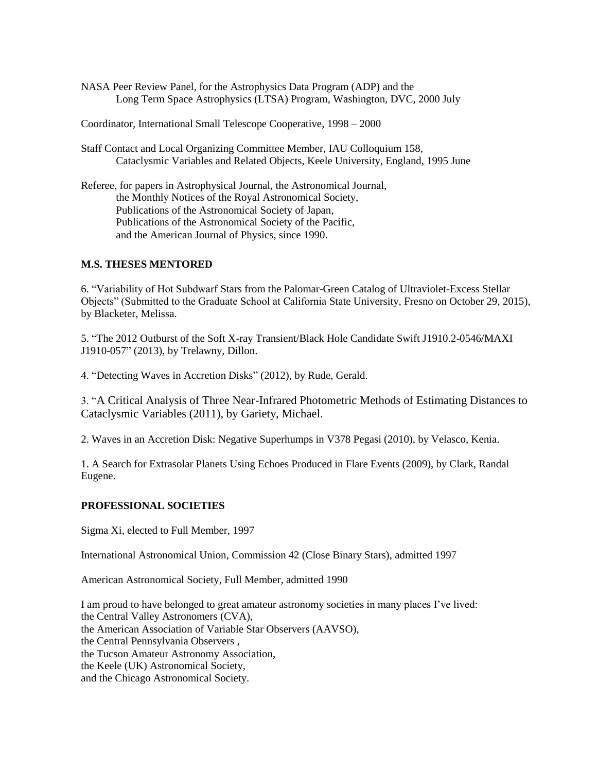NASA Peer Review Panel, for the [Astrophysics Data Program \(ADP\)](http://spacescience.nasa.gov/nra/00-oss-01/A.1.3.html) and the [Long Term Space Astrophysics \(LTSA\) Program,](http://spacescience.nasa.gov/nra/00-oss-01/A.1.4.html) Washington, DVC, 2000 July

Coordinator[, International Small Telescope Cooperative,](http://www.astro.fit.edu/istec/) 1998 – 2000

- Staff Contact and Local Organizing Committee Member, IAU Colloquium 158, Cataclysmic Variables and Related Objects, [Keele University,](http://www.astro.keele.ac.uk/) England, 1995 June
- Referee, for papers in Astrophysical Journal, the Astronomical Journal, the Monthly Notices of the Royal Astronomical Society, Publications of the Astronomical Society of Japan, Publications of the Astronomical Society of the Pacific, and the American Journal of Physics, since 1990.

## **M.S. THESES MENTORED**

6. "Variability of Hot Subdwarf Stars from the Palomar-Green Catalog of Ultraviolet-Excess Stellar Objects" (Submitted to the Graduate School at California State University, Fresno on October 29, 2015), by Blacketer, Melissa.

5. "The 2012 Outburst of the Soft X-ray Transient/Black Hole Candidate Swift J1910.2-0546/MAXI J1910-057" (2013), by Trelawny, Dillon.

4. "Detecting Waves in Accretion Disks" (2012), by Rude, Gerald.

3. "A Critical Analysis of Three Near-Infrared Photometric Methods of Estimating Distances to Cataclysmic Variables (2011), by Gariety, Michael.

2. Waves in an Accretion Disk: Negative Superhumps in V378 Pegasi (2010), by Velasco, Kenia.

1. A Search for Extrasolar Planets Using Echoes Produced in Flare Events (2009), by Clark, Randal Eugene.

## **PROFESSIONAL SOCIETIES**

[Sigma Xi,](http://www.sigmaxi.org/) elected to Full Member, 1997

[International Astronomical Union,](http://www.intastun.org/) [Commission 42 \(Close Binary Stars\),](http://www.konkoly.hu/IAUC42/) admitted 1997

[American Astronomical Society,](http://www.aas.org/) Full Member, admitted 1990

I am proud to have belonged to great amateur astronomy societies in many places I've lived: the [Central Valley Astronomers](http://www.episodeii.com/cva/) (CVA), the American Association of Variable Star Observers (AAVSO), the [Central Pennsylvania Observers](http://www.cpo.homepad.com/) , the [Tucson Amateur Astronomy Association,](http://www.tucsonastronomy.org/)  the [Keele \(UK\) Astronomical Society,](http://www.astro.keele.ac.uk/astrosoc/home.html)  and the [Chicago Astronomical Society.](http://www.chicagoastro.org/)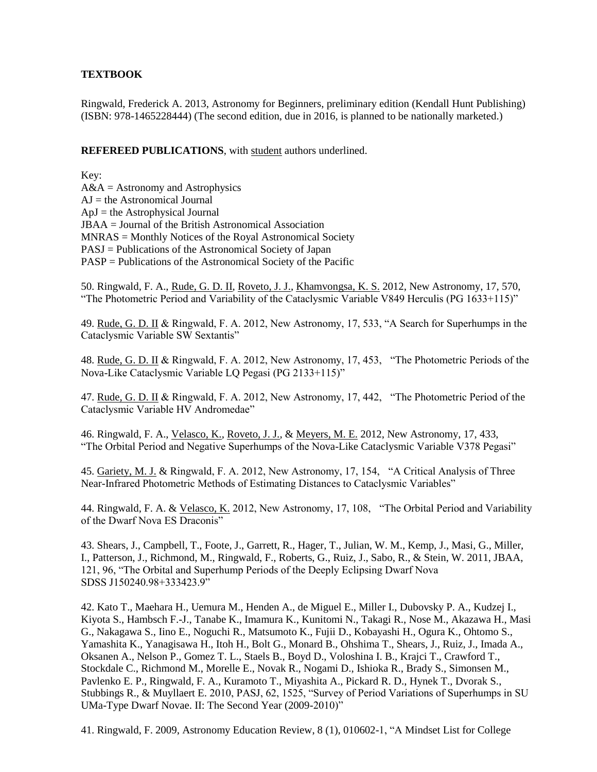# **TEXTBOOK**

Ringwald, Frederick A. 2013, Astronomy for Beginners, preliminary edition (Kendall Hunt Publishing) (ISBN: 978-1465228444) (The second edition, due in 2016, is planned to be nationally marketed.)

**REFEREED PUBLICATIONS**, with student authors underlined.

Key:  $A&A =$  Astronomy and Astrophysics  $AJ$  = the Astronomical Journal  $ApJ = the Astrophysical Journal$ JBAA = Journal of the British Astronomical Association MNRAS = Monthly Notices of the Royal Astronomical Society PASJ = Publications of the Astronomical Society of Japan PASP = Publications of the Astronomical Society of the Pacific

50. Ringwald, F. A., Rude, G. D. II, Roveto, J. J., Khamvongsa, K. S. 2012, New Astronomy, 17, 570, "The Photometric Period and Variability of the Cataclysmic Variable V849 Herculis (PG 1633+115)"

49. Rude, G. D. II & Ringwald, F. A. 2012, New Astronomy, 17, 533, "A Search for Superhumps in the Cataclysmic Variable SW Sextantis"

48. Rude, G. D. II & Ringwald, F. A. 2012, New Astronomy, 17, 453, "The Photometric Periods of the Nova-Like Cataclysmic Variable LQ Pegasi (PG 2133+115)"

47. Rude, G. D. II & Ringwald, F. A. 2012, New Astronomy, 17, 442, "The Photometric Period of the Cataclysmic Variable HV Andromedae"

46. Ringwald, F. A., Velasco, K., Roveto, J. J., & Meyers, M. E. 2012, New Astronomy, 17, 433, "The Orbital Period and Negative Superhumps of the Nova-Like Cataclysmic Variable V378 Pegasi"

45. Gariety, M. J. & Ringwald, F. A. 2012, New Astronomy, 17, 154, "A Critical Analysis of Three Near-Infrared Photometric Methods of Estimating Distances to Cataclysmic Variables"

44. Ringwald, F. A. & Velasco, K. 2012, New Astronomy, 17, 108, "The Orbital Period and Variability of the Dwarf Nova ES Draconis"

43. Shears, J., Campbell, T., Foote, J., Garrett, R., Hager, T., Julian, W. M., Kemp, J., Masi, G., Miller, I., Patterson, J., Richmond, M., Ringwald, F., Roberts, G., Ruiz, J., Sabo, R., & Stein, W. 2011, JBAA, 121, 96, "The Orbital and Superhump Periods of the Deeply Eclipsing Dwarf Nova SDSS J150240.98+333423.9"

42. Kato T., Maehara H., Uemura M., Henden A., de Miguel E., Miller I., Dubovsky P. A., Kudzej I., Kiyota S., Hambsch F.-J., Tanabe K., Imamura K., Kunitomi N., Takagi R., Nose M., Akazawa H., Masi G., Nakagawa S., Iino E., Noguchi R., Matsumoto K., Fujii D., Kobayashi H., Ogura K., Ohtomo S., Yamashita K., Yanagisawa H., Itoh H., Bolt G., Monard B., Ohshima T., Shears, J., Ruiz, J., Imada A., Oksanen A., Nelson P., Gomez T. L., Staels B., Boyd D., Voloshina I. B., Krajci T., Crawford T., Stockdale C., Richmond M., Morelle E., Novak R., Nogami D., Ishioka R., Brady S., Simonsen M., Pavlenko E. P., Ringwald, F. A., Kuramoto T., Miyashita A., Pickard R. D., Hynek T., Dvorak S., Stubbings R., & Muyllaert E. 2010, PASJ, 62, 1525, "Survey of Period Variations of Superhumps in SU UMa-Type Dwarf Novae. II: The Second Year (2009-2010)"

41. Ringwald, F. 2009, Astronomy Education Review, 8 (1), 010602-1, "A Mindset List for College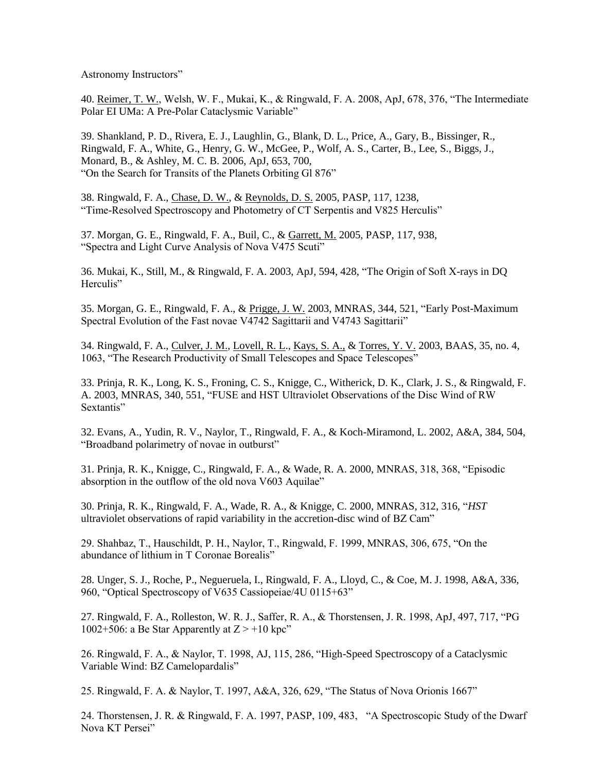Astronomy Instructors"

40. Reimer, T. W., Welsh, W. F., Mukai, K., & Ringwald, F. A. 2008, ApJ, 678, 376, "The Intermediate Polar EI UMa: A Pre-Polar Cataclysmic Variable"

39. Shankland, P. D., Rivera, E. J., Laughlin, G., Blank, D. L., Price, A., Gary, B., Bissinger, R., Ringwald, F. A., White, G., Henry, G. W., McGee, P., Wolf, A. S., Carter, B., Lee, S., Biggs, J., Monard, B., & Ashley, M. C. B. 2006, ApJ, 653, 700, "On the Search for Transits of the Planets Orbiting Gl 876"

38. Ringwald, F. A., Chase, D. W., & Reynolds, D. S. 2005, PASP, 117, 1238, "Time-Resolved Spectroscopy and Photometry of CT Serpentis and V825 Herculis"

37. Morgan, G. E., Ringwald, F. A., Buil, C., & Garrett, M. 2005, PASP, 117, 938, "Spectra and Light Curve Analysis of Nova V475 Scuti"

36. Mukai, K., Still, M., & Ringwald, F. A. 2003, ApJ, 594, 428, "The Origin of Soft X-rays in DQ Herculis"

35. Morgan, G. E., Ringwald, F. A., & Prigge, J. W. 2003, MNRAS, 344, 521, "Early Post-Maximum Spectral Evolution of the Fast novae V4742 Sagittarii and V4743 Sagittarii"

34. Ringwald, F. A., Culver, J. M., Lovell, R. L., Kays, S. A., & Torres, Y. V. 2003, BAAS, 35, no. 4, 1063, "The Research Productivity of Small Telescopes and Space Telescopes"

33. Prinja, R. K., Long, K. S., Froning, C. S., Knigge, C., Witherick, D. K., Clark, J. S., & Ringwald, F. A. 2003, MNRAS, 340, 551, "FUSE and HST Ultraviolet Observations of the Disc Wind of RW Sextantis"

[32. Evans, A., Yudin, R. V., Naylor, T., Ringwald, F. A., & Koch-Miramond, L. 2002, A&A, 384, 504,](http://zimmer.csufresno.edu/~fringwal/novae_final.ps)  ["Broadband polarimetry of novae in outburst"](http://zimmer.csufresno.edu/~fringwal/novae_final.ps)

[31. Prinja, R. K., Knigge, C., Ringwald, F. A., & Wade, R. A. 2000, MNRAS, 318, 368, "Episodic](http://adsabs.harvard.edu/cgi-bin/nph-bib_query?bibcode=2000MNRAS.318..368P&db_key=AST&high=3966c4d00c11801)  [absorption in the outflow of the old nova V603 Aquilae"](http://adsabs.harvard.edu/cgi-bin/nph-bib_query?bibcode=2000MNRAS.318..368P&db_key=AST&high=3966c4d00c11801) 

30. Prinja, R. K., Ringwald, F. A., Wade, R. A., & Knigge, C. 2000, MNRAS, 312, 316, "*HST* ultraviolet observations of rapid variability in the accretion-disc wind of BZ Cam"

[29. Shahbaz, T., Hauschildt, P. H., Naylor, T., Ringwald, F. 1999, MNRAS, 306, 675, "On the](http://adsabs.harvard.edu/cgi-bin/nph-bib_query?bibcode=1999MNRAS.306..675S&db_key=AST&high=36eff38daf17783)  [abundance of lithium in T Coronae Borealis"](http://adsabs.harvard.edu/cgi-bin/nph-bib_query?bibcode=1999MNRAS.306..675S&db_key=AST&high=36eff38daf17783) 

[28. Unger, S. J., Roche, P., Negueruela, I., Ringwald, F. A., Lloyd, C., & Coe, M. J. 1998, A&A, 336,](http://adsabs.harvard.edu/cgi-bin/nph-bib_query?bibcode=1998A%26A...336..960U&db_key=AST&high=36eff38daf17804)  [960, "Optical Spectroscopy of V635 Cassiopeiae/4U 0115+63"](http://adsabs.harvard.edu/cgi-bin/nph-bib_query?bibcode=1998A%26A...336..960U&db_key=AST&high=36eff38daf17804) 

[27. Ringwald, F. A., Rolleston, W. R. J., Saffer, R. A., & Thorstensen, J. R. 1998, ApJ, 497, 717, "PG](http://adsabs.harvard.edu/cgi-bin/nph-bib_query?bibcode=1998ApJ...497..717R&db_key=AST&high=36eff38daf17848)  1002+506: a Be Star Apparently at  $Z > +10$  kpc"

[26. Ringwald, F. A., & Naylor, T. 1998, AJ, 115, 286, "High-Speed Spectroscopy of](http://adsabs.harvard.edu/cgi-bin/nph-bib_query?bibcode=1998AJ....115..286R&db_key=AST&high=36eff38daf17873) a Cataclysmic [Variable Wind: BZ Camelopardalis"](http://adsabs.harvard.edu/cgi-bin/nph-bib_query?bibcode=1998AJ....115..286R&db_key=AST&high=36eff38daf17873) 

[25. Ringwald, F. A. & Naylor, T. 1997, A&A, 326, 629, "The Status of Nova Orionis 1667"](http://adsabs.harvard.edu/cgi-bin/nph-bib_query?bibcode=1997A%26A...326..629R&db_key=AST&high=36eff38daf17873) 

[24. Thorstensen, J. R. & Ringwald, F. A. 1997, PASP, 109, 483, "A Spectroscopic Study of the Dwarf](http://adsabs.harvard.edu/cgi-bin/nph-bib_query?1997PASP%2E%2E109%2E%2E483T&db_key=AST)  [Nova KT Persei"](http://adsabs.harvard.edu/cgi-bin/nph-bib_query?1997PASP%2E%2E109%2E%2E483T&db_key=AST)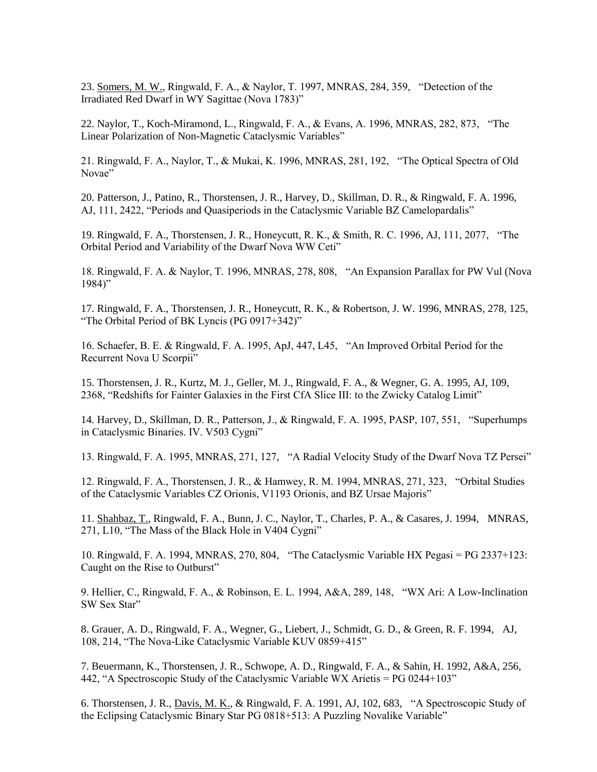[23. Somers, M. W., Ringwald, F. A., & Naylor, T. 1997, MNRAS, 284, 359, "Detection of the](http://adsabs.harvard.edu/cgi-bin/nph-bib_query?1997MNRAS%2E284%2E%2E359S&db_key=AST)  [Irradiated Red Dwarf in WY Sagittae \(Nova 1783\)"](http://adsabs.harvard.edu/cgi-bin/nph-bib_query?1997MNRAS%2E284%2E%2E359S&db_key=AST) 

[22. Naylor, T., Koch-Miramond, L., Ringwald, F. A., & Evans, A. 1996, MNRAS, 282, 873, "The](http://adsabs.harvard.edu/cgi-bin/nph-bib_query?1996MNRAS%2E282%2E%2E873N&db_key=AST) [Linear Polarization of Non-Magnetic Cataclysmic Variables"](http://adsabs.harvard.edu/cgi-bin/nph-bib_query?1996MNRAS%2E282%2E%2E873N&db_key=AST) 

[21. Ringwald, F. A., Naylor, T., & Mukai, K. 1996, MNRAS, 281, 192, "The Optical Spectra of Old](http://adsabs.harvard.edu/cgi-bin/nph-bib_query?1996MNRAS%2E281%2E%2E192R&db_key=AST)  [Novae"](http://adsabs.harvard.edu/cgi-bin/nph-bib_query?1996MNRAS%2E281%2E%2E192R&db_key=AST) 

[20. Patterson, J., Patino, R., Thorstensen, J. R., Harvey, D., Skillman, D. R., & Ringwald, F. A. 1996,](http://adsabs.harvard.edu/cgi-bin/nph-bib_query?bibcode=1996AJ....111.2422P&db_key=AST&high=36eff38daf17873)  [AJ, 111, 2422, "Periods and Quasiperiods in the Cataclysmic Variable BZ Camelopardalis"](http://adsabs.harvard.edu/cgi-bin/nph-bib_query?bibcode=1996AJ....111.2422P&db_key=AST&high=36eff38daf17873) 

[19. Ringwald, F. A., Thorstensen, J. R., Honeycutt, R. K., & Smith, R. C. 1996, AJ, 111, 2077, "The](http://adsabs.harvard.edu/cgi-bin/nph-bib_query?bibcode=1996AJ....111.2077R&db_key=AST&high=36eff38daf17873)  [Orbital Period and Variability of the Dwarf Nova WW Ceti"](http://adsabs.harvard.edu/cgi-bin/nph-bib_query?bibcode=1996AJ....111.2077R&db_key=AST&high=36eff38daf17873) 

[18. Ringwald, F. A. & Naylor, T. 1996, MNRAS, 278, 808, "An Expansion Parallax for PW Vul \(Nova](http://adsabs.harvard.edu/cgi-bin/nph-bib_query?bibcode=1996MNRAS.278..808R&db_key=AST&high=36eff38daf17873)  [1984\)"](http://adsabs.harvard.edu/cgi-bin/nph-bib_query?bibcode=1996MNRAS.278..808R&db_key=AST&high=36eff38daf17873) 

[17. Ringwald, F. A., Thorstensen, J. R., Honeycutt, R. K., & Robertson, J. W. 1996, MNRAS, 278, 125,](http://adsabs.harvard.edu/cgi-bin/nph-bib_query?bibcode=1996MNRAS.278..125R&db_key=AST&high=36eff38daf17873)  ["The Orbital Period of BK Lyncis \(PG 0917+342\)"](http://adsabs.harvard.edu/cgi-bin/nph-bib_query?bibcode=1996MNRAS.278..125R&db_key=AST&high=36eff38daf17873) 

[16. Schaefer, B. E. & Ringwald, F. A. 1995, ApJ, 447, L45, "An Improved Orbital Period for the](http://adsabs.harvard.edu/cgi-bin/nph-bib_query?bibcode=1995ApJ...447L..45S&db_key=AST&high=36eff38daf17873)  [Recurrent Nova U Scorpii"](http://adsabs.harvard.edu/cgi-bin/nph-bib_query?bibcode=1995ApJ...447L..45S&db_key=AST&high=36eff38daf17873) 

[15. Thorstensen, J. R., Kurtz, M. J., Geller, M. J., Ringwald, F. A., & Wegner, G. A. 1995, AJ, 109,](http://adsabs.harvard.edu/cgi-bin/nph-bib_query?bibcode=1995AJ....109.2368T&db_key=AST&high=36eff38daf17873)  [2368, "Redshifts for Fainter Galaxies in the First CfA Slice III: to the Zwicky Catalog Limit"](http://adsabs.harvard.edu/cgi-bin/nph-bib_query?bibcode=1995AJ....109.2368T&db_key=AST&high=36eff38daf17873) 

[14. Harvey, D., Skillman, D. R., Patterson, J., & Ringwald, F. A. 1995, PASP, 107, 551, "Superhumps](http://adsabs.harvard.edu/cgi-bin/nph-bib_query?bibcode=1995PASP..107..551H&db_key=AST&high=36eff38daf17873)  [in Cataclysmic Binaries. IV. V503 Cygni"](http://adsabs.harvard.edu/cgi-bin/nph-bib_query?bibcode=1995PASP..107..551H&db_key=AST&high=36eff38daf17873) 

[13. Ringwald, F. A. 1995, MNRAS, 271, 127, "A Radial Velocity Study of the Dwarf Nova TZ Persei"](http://adsabs.harvard.edu/cgi-bin/nph-bib_query?bibcode=1995MNRAS.274..127R&db_key=AST&high=36eff38daf17873) 

[12. Ringwald, F. A., Thorstensen, J. R., & Hamwey, R. M. 1994, MNRAS, 271, 323, "Orbital Studies](http://adsabs.harvard.edu/cgi-bin/nph-bib_query?bibcode=1994MNRAS.271..323R&db_key=AST&high=36eff38daf17873)  [of the Cataclysmic Variables CZ Orionis, V1193 Orionis, and BZ Ursae Majoris"](http://adsabs.harvard.edu/cgi-bin/nph-bib_query?bibcode=1994MNRAS.271..323R&db_key=AST&high=36eff38daf17873) 

[11. Shahbaz, T., Ringwald, F. A., Bunn, J. C., Naylor, T., Charles, P. A., & Casares, J. 1994, MNRAS,](http://adsabs.harvard.edu/cgi-bin/nph-bib_query?1994MNRAS%2E271L%2E%2E10S&db_key=AST&high=3290c8a61f00097)  [271, L10, "The Mass of the Black Hole in V404 Cygni"](http://adsabs.harvard.edu/cgi-bin/nph-bib_query?1994MNRAS%2E271L%2E%2E10S&db_key=AST&high=3290c8a61f00097) 

[10. Ringwald, F. A. 1994, MNRAS, 270, 804, "The Cataclysmic Variable HX Pegasi = PG 2337+123:](http://adsabs.harvard.edu/cgi-bin/nph-bib_query?bibcode=1994MNRAS.270..804R&db_key=AST&high=36eff38daf17873)  [Caught on the Rise to Outburst"](http://adsabs.harvard.edu/cgi-bin/nph-bib_query?bibcode=1994MNRAS.270..804R&db_key=AST&high=36eff38daf17873) 

[9. Hellier, C., Ringwald, F. A., & Robinson, E. L. 1994, A&A, 289, 148, "WX Ari: A Low-Inclination](http://adsabs.harvard.edu/cgi-bin/nph-bib_query?bibcode=1994A%26A...289..148H&db_key=AST&high=36eff38daf17873)  [SW Sex Star"](http://adsabs.harvard.edu/cgi-bin/nph-bib_query?bibcode=1994A%26A...289..148H&db_key=AST&high=36eff38daf17873) 

[8. Grauer, A. D., Ringwald, F. A., Wegner, G., Liebert, J., Schmidt, G. D., & Green, R. F. 1994, AJ,](http://adsabs.harvard.edu/cgi-bin/nph-bib_query?bibcode=1994AJ....108..214G&db_key=AST&high=36eff38daf17873)  [108, 214, "The Nova-Like Cataclysmic Variable KUV 0859+415"](http://adsabs.harvard.edu/cgi-bin/nph-bib_query?bibcode=1994AJ....108..214G&db_key=AST&high=36eff38daf17873) 

[7. Beuermann, K., Thorstensen, J. R., Schwope, A. D., Ringwald, F. A., & Sahin, H. 1992, A&A, 256,](http://adsabs.harvard.edu/cgi-bin/nph-bib_query?bibcode=1992A%26A...256..442B&db_key=AST&high=36eff38daf17873)  [442, "A Spectroscopic Study of the Cataclysmic Variable WX Arietis = PG 0244+103"](http://adsabs.harvard.edu/cgi-bin/nph-bib_query?bibcode=1992A%26A...256..442B&db_key=AST&high=36eff38daf17873) 

[6. Thorstensen, J. R., Davis, M. K., & Ringwald, F. A. 1991, AJ, 102, 683, "A Spectroscopic Study of](http://adsabs.harvard.edu/cgi-bin/nph-bib_query?bibcode=1991AJ....102..683T&db_key=AST&high=36eff38daf17873)  [the Eclipsing Cataclysmic Binary Star PG 0818+513: A Puzzling Novalike Variable"](http://adsabs.harvard.edu/cgi-bin/nph-bib_query?bibcode=1991AJ....102..683T&db_key=AST&high=36eff38daf17873)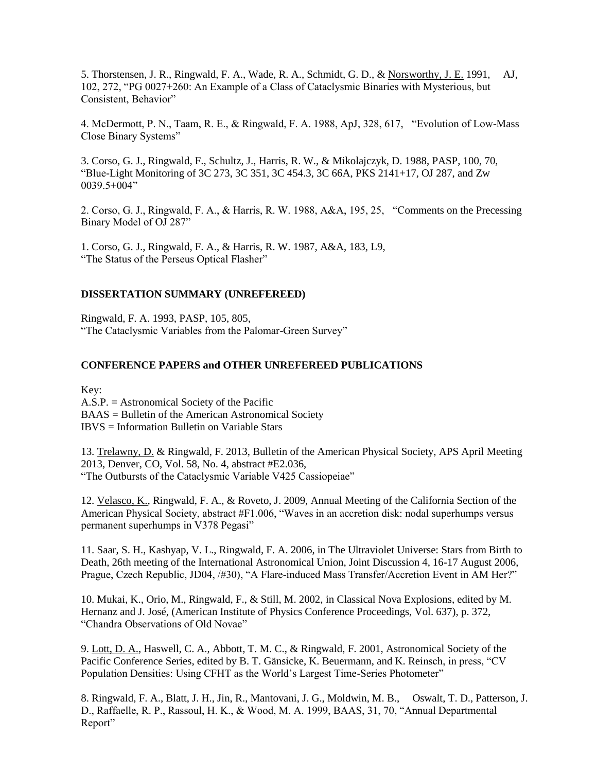[5. Thorstensen, J. R., Ringwald, F. A., Wade, R. A., Schmidt, G. D., & Norsworthy, J. E.](http://adsabs.harvard.edu/cgi-bin/nph-bib_query?bibcode=1991AJ....102..272T&db_key=AST&high=36eff38daf17873) 1991, AJ, [102, 272, "PG 0027+260: An Example of a Class of Cataclysmic Binaries with Mysterious, but](http://adsabs.harvard.edu/cgi-bin/nph-bib_query?bibcode=1991AJ....102..272T&db_key=AST&high=36eff38daf17873)  [Consistent, Behavior"](http://adsabs.harvard.edu/cgi-bin/nph-bib_query?bibcode=1991AJ....102..272T&db_key=AST&high=36eff38daf17873) 

[4. McDermott, P. N., Taam, R. E., & Ringwald, F. A. 1988, ApJ, 328, 617, "Evolution of Low-Mass](http://adsabs.harvard.edu/cgi-bin/nph-bib_query?bibcode=1988ApJ...328..617M&db_key=AST&high=36eff38daf17873)  [Close Binary Systems"](http://adsabs.harvard.edu/cgi-bin/nph-bib_query?bibcode=1988ApJ...328..617M&db_key=AST&high=36eff38daf17873) 

[3. Corso, G. J., Ringwald, F., Schultz, J., Harris, R. W., & Mikolajczyk, D. 1988, PASP, 100, 70,](http://adsabs.harvard.edu/cgi-bin/nph-bib_query?bibcode=1988PASP..100...70C&db_key=AST&high=36eff38daf17873)  ["Blue-Light Monitoring of 3C 273, 3C 351, 3C 454.3, 3C 66A, PKS 2141+17, OJ 287, and Zw](http://adsabs.harvard.edu/cgi-bin/nph-bib_query?bibcode=1988PASP..100...70C&db_key=AST&high=36eff38daf17873)   $0039.5+004"$ 

[2. Corso, G. J., Ringwald, F. A., & Harris, R. W. 1988, A&A, 195, 25, "Comments on the Precessing](http://adsabs.harvard.edu/cgi-bin/nph-bib_query?bibcode=1988A%26A...195...25C&db_key=AST&high=36eff38daf17873)  [Binary Model of OJ 287"](http://adsabs.harvard.edu/cgi-bin/nph-bib_query?bibcode=1988A%26A...195...25C&db_key=AST&high=36eff38daf17873) 

[1. Corso, G. J., Ringwald, F. A., & Harris, R. W. 1987, A&A, 183, L9,](http://adsabs.harvard.edu/cgi-bin/nph-bib_query?bibcode=1987A%26A...183L...9C&db_key=AST&high=36eff38daf17873)  ["The Status of the Perseus Optical Flasher"](http://adsabs.harvard.edu/cgi-bin/nph-bib_query?bibcode=1987A%26A...183L...9C&db_key=AST&high=36eff38daf17873)

## **DISSERTATION SUMMARY (UNREFEREED)**

[Ringwald, F. A. 1993, PASP, 105, 805,](http://adsabs.harvard.edu/cgi-bin/nph-bib_query?1993PASP%2E%2E105%2E%2E805R&db_key=AST)  ["The Cataclysmic Variables from the Palomar-Green Survey"](http://adsabs.harvard.edu/cgi-bin/nph-bib_query?1993PASP%2E%2E105%2E%2E805R&db_key=AST)

## **CONFERENCE PAPERS and OTHER UNREFEREED PUBLICATIONS**

Key:

A.S.P. = Astronomical Society of the Pacific BAAS = Bulletin of the American Astronomical Society IBVS = Information Bulletin on Variable Stars

13. Trelawny, D. & Ringwald, F. 2013, Bulletin of the American Physical Society, APS April Meeting 2013, Denver, CO, Vol. 58, No. 4, abstract #E2.036, "The Outbursts of the Cataclysmic Variable V425 Cassiopeiae"

12. Velasco, K., Ringwald, F. A., & Roveto, J. 2009, Annual Meeting of the California Section of the American Physical Society, abstract #F1.006, "Waves in an accretion disk: nodal superhumps versus permanent superhumps in V378 Pegasi"

11. Saar, S. H., Kashyap, V. L., Ringwald, F. A. 2006, in The Ultraviolet Universe: Stars from Birth to Death, 26th meeting of the International Astronomical Union, Joint Discussion 4, 16-17 August 2006, Prague, Czech Republic, JD04, /#30), "A Flare-induced Mass Transfer/Accretion Event in AM Her?"

10. Mukai, K., Orio, M., Ringwald, F., & Still, M. 2002, in Classical Nova Explosions, edited by M. Hernanz and J. José, (American Institute of Physics Conference Proceedings, Vol. 637), p. 372, "Chandra Observations of Old Novae"

[9. Lott, D. A., Haswell, C. A., Abbott, T. M. C., & Ringwald, F. 2001, Astronomical Society of the](http://zimmer.csufresno.edu/~fringwal/lott.pdf)  [Pacific Conference Series, edited by B. T. Gänsicke, K. Beuermann, and K. Reinsch, in press, "CV](http://zimmer.csufresno.edu/~fringwal/lott.pdf)  [Population Densities: Using CFHT as the World's Largest Time-Series Photometer"](http://zimmer.csufresno.edu/~fringwal/lott.pdf)

[8. Ringwald, F. A., Blatt, J. H., Jin, R., Mantovani, J. G., Moldwin, M. B., Oswalt, T. D., Patterson, J.](http://www.aip.org/baas/vol_31toc.html/vol_31/040901bas.pdf)  [D., Raffaelle, R. P., Rassoul, H. K., & Wood, M. A. 1999, BAAS, 31, 70, "Annual Departmental](http://www.aip.org/baas/vol_31toc.html/vol_31/040901bas.pdf)  [Report"](http://www.aip.org/baas/vol_31toc.html/vol_31/040901bas.pdf)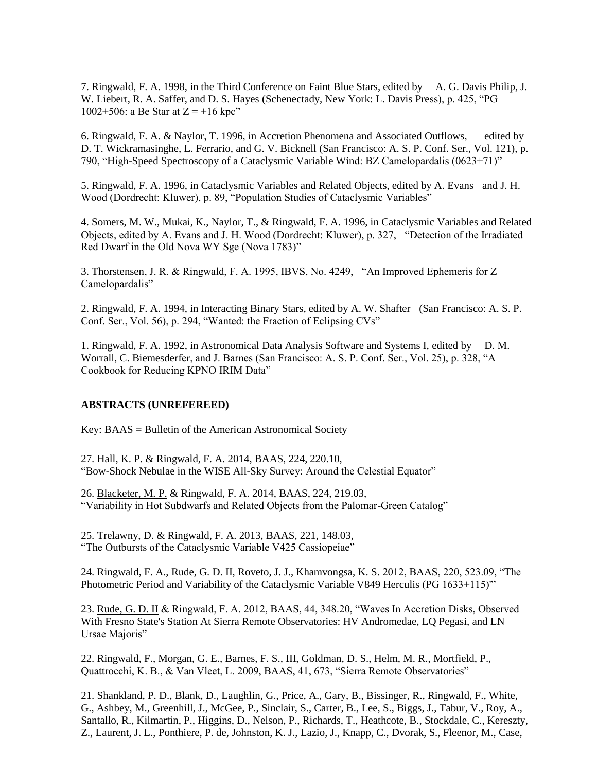[7. Ringwald, F. A. 1998, in the Third Conference on Faint Blue Stars, edited by A. G. Davis Philip, J.](http://adsabs.harvard.edu/cgi-bin/nph-bib_query?bibcode=1997fbs..conf..425R&db_key=AST&high=3966c4d00c15966)  [W. Liebert, R. A. Saffer, and D. S. Hayes \(Schenectady, New York: L. Davis Press\), p. 425, "PG](http://adsabs.harvard.edu/cgi-bin/nph-bib_query?bibcode=1997fbs..conf..425R&db_key=AST&high=3966c4d00c15966)  1002+506: a Be Star at  $Z = +16$  kpc"

[6. Ringwald, F. A. & Naylor, T. 1996, in Accretion Phenomena and Associated Outflows, edited by](http://zimmer.csufresno.edu/~fringwal/iau163.ps)  [D. T. Wickramasinghe, L. Ferrario, and G. V. Bicknell \(San Francisco: A. S. P. Conf. Ser., Vol. 121\), p.](http://zimmer.csufresno.edu/~fringwal/iau163.ps)  [790, "High-Speed Spectroscopy of a Cataclysmic Variable Wind: BZ Camelopardalis \(0623+71\)"](http://zimmer.csufresno.edu/~fringwal/iau163.ps) 

[5. Ringwald, F. A. 1996, in Cataclysmic Variables and Related Objects, edited by A. Evans and J. H.](http://zimmer.csufresno.edu/~fringwal/conf_rev2.ps)  [Wood \(Dordrecht: Kluwer\), p. 89, "Population Studies of Cataclysmic Variables"](http://zimmer.csufresno.edu/~fringwal/conf_rev2.ps) 

[4. Somers, M. W., Mukai, K., Naylor, T., & Ringwald, F. A. 1996, in Cataclysmic Variables and Related](http://zimmer.csufresno.edu/~fringwal/wyproc.ps)  [Objects, edited by A. Evans and J. H. Wood \(Dordrecht: Kluwer\), p. 327, "Detection of the Irradiated](http://zimmer.csufresno.edu/~fringwal/wyproc.ps)  [Red Dwarf in the Old Nova WY Sge \(Nova 1783\)"](http://zimmer.csufresno.edu/~fringwal/wyproc.ps) 

3. Thorstensen, J. R. & Ringwald, F. A. 1995, IBVS, No. 4249, "An Improved Ephemeris for Z Camelopardalis"

[2. Ringwald, F. A. 1994, in Interacting Binary Stars, edited by A. W. Shafter \(San Francisco: A. S. P.](http://zimmer.csufresno.edu/~fringwal/phoo.ps)  [Conf. Ser., Vol. 56\), p. 294, "Wanted: the Fraction of Eclipsing CVs"](http://zimmer.csufresno.edu/~fringwal/phoo.ps) 

[1. Ringwald, F. A. 1992, in Astronomical Data Analysis Software and Systems I, edited by D. M.](http://zimmer.csufresno.edu/~fringwal/adass1.ps)  [Worrall, C. Biemesderfer, and J. Barnes \(San Francisco: A. S. P. Conf. Ser., Vol. 25\), p. 328, "A](http://zimmer.csufresno.edu/~fringwal/adass1.ps)  [Cookbook for Reducing KPNO IRIM Data"](http://zimmer.csufresno.edu/~fringwal/adass1.ps) 

#### **ABSTRACTS (UNREFEREED)**

Key: [BAAS = Bulletin of the American Astronomical Society](http://www.aas.org/publications/baas/baas.html) 

27. Hall, K. P. & Ringwald, F. A. 2014, BAAS, 224, 220.10, "Bow-Shock Nebulae in the WISE All-Sky Survey: Around the Celestial Equator"

26. Blacketer, M. P. & Ringwald, F. A. 2014, BAAS, 224, 219.03, "Variability in Hot Subdwarfs and Related Objects from the Palomar-Green Catalog"

25. Trelawny, D. & Ringwald, F. A. 2013, BAAS, 221, 148.03, "The Outbursts of the Cataclysmic Variable V425 Cassiopeiae"

24. Ringwald, F. A., Rude, G. D. II, Roveto, J. J., Khamvongsa, K. S. 2012, BAAS, 220, 523.09, "The Photometric Period and Variability of the Cataclysmic Variable V849 Herculis (PG 1633+115)"

23. Rude, G. D. II & Ringwald, F. A. 2012, BAAS, 44, 348.20, "Waves In Accretion Disks, Observed With Fresno State's Station At Sierra Remote Observatories: HV Andromedae, LQ Pegasi, and LN Ursae Majoris"

22. Ringwald, F., Morgan, G. E., Barnes, F. S., III, Goldman, D. S., Helm, M. R., Mortfield, P., Quattrocchi, K. B., & Van Vleet, L. 2009, BAAS, 41, 673, "Sierra Remote Observatories"

21. Shankland, P. D., Blank, D., Laughlin, G., Price, A., Gary, B., Bissinger, R., Ringwald, F., White, G., Ashbey, M., Greenhill, J., McGee, P., Sinclair, S., Carter, B., Lee, S., Biggs, J., Tabur, V., Roy, A., Santallo, R., Kilmartin, P., Higgins, D., Nelson, P., Richards, T., Heathcote, B., Stockdale, C., Kereszty, Z., Laurent, J. L., Ponthiere, P. de, Johnston, K. J., Lazio, J., Knapp, C., Dvorak, S., Fleenor, M., Case,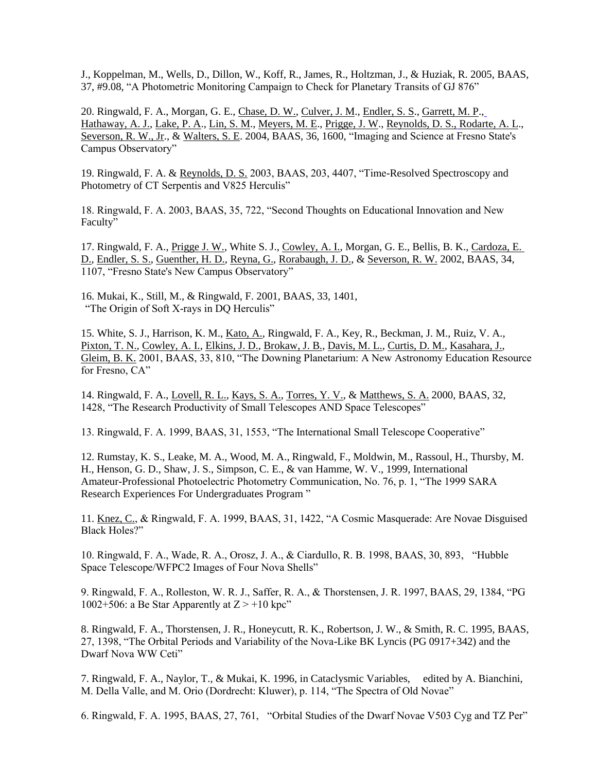J., Koppelman, M., Wells, D., Dillon, W., Koff, R., James, R., Holtzman, J., & Huziak, R. 2005, BAAS, 37, #9.08, "A Photometric Monitoring Campaign to Check for Planetary Transits of GJ 876"

20. Ringwald, F. A., Morgan, G. E., Chase, D. W., Culver, J. M., Endler, S. S., Garrett, M. P., Hathaway, A. J., Lake, P. A., Lin, S. M., Meyers, M. E., Prigge, J. W., Reynolds, D. S., Rodarte, A. L., Severson, R. W., Jr., & Walters, S. E. 2004, BAAS, 36, 1600, "Imaging and Science at Fresno State's Campus Observatory"

19. Ringwald, F. A. & Reynolds, D. S. [2003, BAAS, 203, 4407, "Time-Resolved Spectroscopy and](http://adsabs.harvard.edu/cgi-bin/nph-bib_query?bibcode=2003AAS...202.1504R&db_key=AST&high=3ee0155bd002415)  [Photometry of CT Serpentis and V825 Herculis"](http://adsabs.harvard.edu/cgi-bin/nph-bib_query?bibcode=2003AAS...202.1504R&db_key=AST&high=3ee0155bd002415)

[18. Ringwald, F. A. 2003, BAAS, 35, 722, "Second Thoughts on Educational Innovation and New](http://adsabs.harvard.edu/cgi-bin/nph-bib_query?bibcode=2003AAS...202.1504R&db_key=AST&high=3ee0155bd002415)  [Faculty"](http://adsabs.harvard.edu/cgi-bin/nph-bib_query?bibcode=2003AAS...202.1504R&db_key=AST&high=3ee0155bd002415)

17. Ringwald, F. A., Prigge J. W., White S. J., Cowley, A. I., Morgan, G. E., Bellis, B. K., Cardoza, E. [D., Endler, S. S., Guenther, H. D., Reyna, G., Rorabaugh, J. D., & Severson, R. W.](http://adsabs.harvard.edu/cgi-bin/nph-bib_query?bibcode=2002AAS...201.1003R&db_key=AST&high=3d6299953423678) 2002, BAAS, 34, [1107, "Fresno State's New Campus Observatory"](http://adsabs.harvard.edu/cgi-bin/nph-bib_query?bibcode=2002AAS...201.1003R&db_key=AST&high=3d6299953423678)

[16. Mukai, K., Still, M., & Ringwald, F. 2001, BAAS, 33, 1401,](http://adsabs.harvard.edu/cgi-bin/nph-bib_query?bibcode=2001AAS...199.6211M&db_key=AST&high=3c449a01ea01878) ["The Origin of Soft X-rays in DQ Herculis"](http://adsabs.harvard.edu/cgi-bin/nph-bib_query?bibcode=2001AAS...199.6211M&db_key=AST&high=3c449a01ea01878) 

[15. White, S. J., Harrison, K. M., Kato, A., Ringwald, F. A., Key, R., Beckman, J. M., Ruiz, V. A.,](http://adsabs.harvard.edu/cgi-bin/nph-bib_query?bibcode=2001AAS...198.1602W&db_key=AST&high=3b4010d7c507851)  [Pixton, T. N., Cowley, A. I., Elkins, J. D., Brokaw, J. B., Davis, M. L., Curtis, D. M., Kasahara, J.,](http://adsabs.harvard.edu/cgi-bin/nph-bib_query?bibcode=2001AAS...198.1602W&db_key=AST&high=3b4010d7c507851)  Gleim, B. K. [2001, BAAS, 33, 810, "The Downing Planetarium: A New Astronomy Education Resource](http://adsabs.harvard.edu/cgi-bin/nph-bib_query?bibcode=2001AAS...198.1602W&db_key=AST&high=3b4010d7c507851)  [for Fresno, CA"](http://adsabs.harvard.edu/cgi-bin/nph-bib_query?bibcode=2001AAS...198.1602W&db_key=AST&high=3b4010d7c507851) 

[14. Ringwald, F. A., Lovell, R. L., Kays, S. A., Torres, Y. V., & Matthews, S. A.](http://adsabs.harvard.edu/cgi-bin/nph-bib_query?bibcode=2000AAS...197.1503R&db_key=AST&high=3966c4d00c15966) 2000, BAAS, 32, [1428, "The Research Productivity of Small Telescopes AND Space Telescopes"](http://adsabs.harvard.edu/cgi-bin/nph-bib_query?bibcode=2000AAS...197.1503R&db_key=AST&high=3966c4d00c15966) 

[13. Ringwald, F. A. 1999, BAAS, 31, 1553, "The International Small Telescope Cooperative"](http://adsabs.harvard.edu/cgi-bin/nph-bib_query?bibcode=1999AAS...19512205R&db_key=AST&high=3966c4d00c15966) 

[12. Rumstay, K. S., Leake, M. A., Wood, M. A., Ringwald, F., Moldwin, M., Rassoul, H., Thursby, M.](http://adsabs.harvard.edu/cgi-bin/nph-bib_query?bibcode=1999IAPPP..76....1R&db_key=AST&high=3d68a139f925592)  [H., Henson, G. D., Shaw, J. S., Simpson, C. E., & van Hamme, W. V., 1999, International](http://adsabs.harvard.edu/cgi-bin/nph-bib_query?bibcode=1999IAPPP..76....1R&db_key=AST&high=3d68a139f925592)  [Amateur-Professional Photoelectric Photometry Communication, No. 76, p. 1, "The 1999 SARA](http://adsabs.harvard.edu/cgi-bin/nph-bib_query?bibcode=1999IAPPP..76....1R&db_key=AST&high=3d68a139f925592)  [Research Experiences For Undergraduates Program](http://adsabs.harvard.edu/cgi-bin/nph-bib_query?bibcode=1999IAPPP..76....1R&db_key=AST&high=3d68a139f925592) "

[11. Knez, C., & Ringwald, F. A. 1999, BAAS, 31, 1422, "A Cosmic Masquerade: Are Novae Disguised](http://adsabs.harvard.edu/cgi-bin/nph-bib_query?bibcode=1999AAS...195.3706K&db_key=AST&high=3966c4d00c15966)  [Black Holes?"](http://adsabs.harvard.edu/cgi-bin/nph-bib_query?bibcode=1999AAS...195.3706K&db_key=AST&high=3966c4d00c15966) 

[10. Ringwald, F. A., Wade, R. A., Orosz, J. A., & Ciardullo, R. B. 1998, BAAS, 30, 893, "Hubble](http://adsabs.harvard.edu/cgi-bin/nph-bib_query?bibcode=1998AAS...192.5304R&db_key=AST&high=3966c4d00c15966)  [Space Telescope/WFPC2 Images of Four Nova Shells"](http://adsabs.harvard.edu/cgi-bin/nph-bib_query?bibcode=1998AAS...192.5304R&db_key=AST&high=3966c4d00c15966) 

[9. Ringwald, F. A., Rolleston, W. R. J., Saffer, R. A., & Thorstensen, J. R. 1997, BAAS, 29, 1384, "PG](http://adsabs.harvard.edu/cgi-bin/nph-bib_query?bibcode=1997AAS...19110805R&db_key=AST&high=3966c4d00c15966)  1002+506: a Be Star Apparently at  $Z > +10$  kpc"

[8. Ringwald, F. A., Thorstensen, J. R., Honeycutt, R. K., Robertson, J. W., & Smith, R. C. 1995, BAAS,](http://adsabs.harvard.edu/cgi-bin/nph-bib_query?bibcode=1995AAS...187.7908R&db_key=AST&high=3966c4d00c15966)  [27, 1398, "The Orbital Periods and Variability of the Nova-Like BK Lyncis \(PG 0917+342\) and the](http://adsabs.harvard.edu/cgi-bin/nph-bib_query?bibcode=1995AAS...187.7908R&db_key=AST&high=3966c4d00c15966)  [Dwarf Nova WW Ceti"](http://adsabs.harvard.edu/cgi-bin/nph-bib_query?bibcode=1995AAS...187.7908R&db_key=AST&high=3966c4d00c15966) 

[7. Ringwald, F. A., Naylor, T., & Mukai, K. 1996, in Cataclysmic Variables, edited by A. Bianchini,](http://adsabs.harvard.edu/cgi-bin/nph-bib_query?bibcode=1995cava.conf..114R&db_key=AST&high=3966c4d00c15966)  [M. Della Valle, and M. Orio \(Dordrecht: Kluwer\), p. 114, "The Spectra of Old Novae"](http://adsabs.harvard.edu/cgi-bin/nph-bib_query?bibcode=1995cava.conf..114R&db_key=AST&high=3966c4d00c15966) 

6. Ringwald, F. A. 1995, BAAS, 27, 761, "Orbital Studies of the Dwarf Novae V503 Cyg and TZ Per"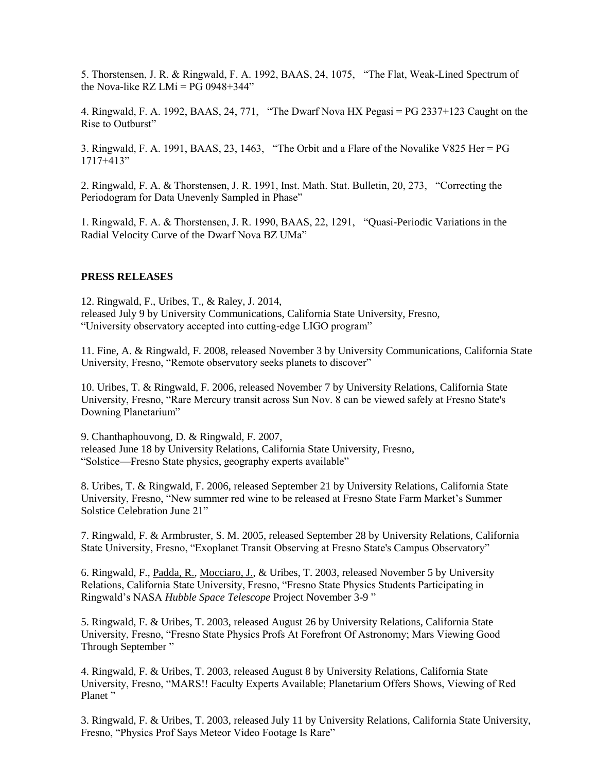5. Thorstensen, J. R. & Ringwald, F. A. 1992, BAAS, 24, 1075, "The Flat, Weak-Lined Spectrum of the Nova-like RZ LMi =  $PG$  0948+344"

4. Ringwald, F. A. 1992, BAAS, 24, 771, "The Dwarf Nova HX Pegasi = PG 2337+123 Caught on the Rise to Outburst"

3. Ringwald, F. A. 1991, BAAS, 23, 1463, "The Orbit and a Flare of the Novalike V825 Her = PG 1717+413"

2. Ringwald, F. A. & Thorstensen, J. R. 1991, Inst. Math. Stat. Bulletin, 20, 273, "Correcting the Periodogram for Data Unevenly Sampled in Phase"

1. Ringwald, F. A. & Thorstensen, J. R. 1990, BAAS, 22, 1291, "Quasi-Periodic Variations in the Radial Velocity Curve of the Dwarf Nova BZ UMa"

#### **PRESS RELEASES**

12. Ringwald, F., Uribes, T., & Raley, J. 2014, released July 9 by University Communications, California State University, Fresno, "University observatory accepted into cutting-edge LIGO program"

11. Fine, A. & Ringwald, F. 2008, released November 3 by University Communications, California State University, Fresno, "Remote observatory seeks planets to discover"

10. Uribes, T. & Ringwald, F. 2006, released November 7 by University Relations, California State University, Fresno, "Rare Mercury transit across Sun Nov. 8 can be viewed safely at Fresno State's Downing Planetarium"

9. Chanthaphouvong, D. & Ringwald, F. 2007, released June 18 by University Relations, California State University, Fresno, "Solstice—Fresno State physics, geography experts available"

8. Uribes, T. & Ringwald, F. 2006, released September 21 by University Relations, California State University, Fresno, "New summer red wine to be released at Fresno State Farm Market's Summer Solstice Celebration June 21"

7. Ringwald, F. & Armbruster, S. M. 2005, released September 28 by University Relations, California State University, Fresno, "Exoplanet Transit Observing at Fresno State's Campus Observatory"

[6. Ringwald, F., Padda, R., Mocciaro, J., & Uribes, T. 2003, released November 5 by University](http://www.fresnostatenews.com/2003/November/HubbleObservation.html)  [Relations, California State University, Fresno, "Fresno State Physics Students Participating in](http://www.fresnostatenews.com/2003/November/HubbleObservation.html)  Ringwald's NASA *[Hubble Space Telescope](http://www.fresnostatenews.com/2003/November/HubbleObservation.html)* Project November 3-9 "

[5. Ringwald, F. & Uribes, T. 2003, released August 26 by University Relations, California State](http://www.fresnostatenews.com/2003/August/Mars2.html)  [University, Fresno, "Fresno State Physics Profs At Forefront Of Astronomy; Mars Viewing Good](http://www.fresnostatenews.com/2003/August/Mars2.html)  [Through September](http://www.fresnostatenews.com/2003/August/Mars2.html) "

[4. Ringwald, F. & Uribes, T. 2003, released August 8 by University Relations, California State](http://www.fresnostatenews.com/2003/August/Mars.html)  [University, Fresno, "MARS!! Faculty Experts Available; Planetarium Offers Shows, Viewing of Red](http://www.fresnostatenews.com/2003/August/Mars.html)  [Planet](http://www.fresnostatenews.com/2003/August/Mars.html) "

[3. Ringwald, F. & Uribes, T. 2003, released July 11 by University Relations, California State University,](http://www.fresnostatenews.com/2003/July/fireball.html)  [Fresno, "Physics Prof Says Meteor Video Footage Is Rare"](http://www.fresnostatenews.com/2003/July/fireball.html)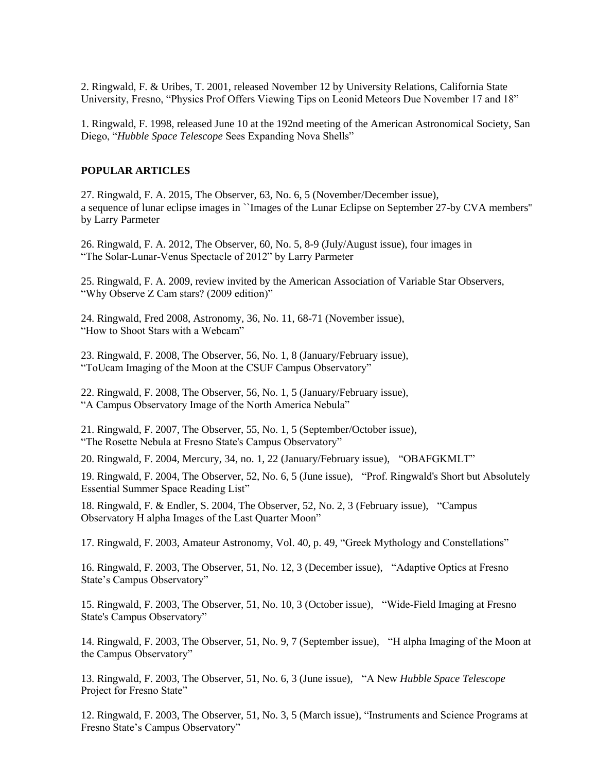[2. Ringwald, F. & Uribes, T. 2001, released November 12 by University Relations, California State](http://zimmer.csufresno.edu/~fringwal/MeteorsREL.html)  [University, Fresno, "Physics Prof Offers Viewing Tips on Leonid Meteors Due November 17 and 18"](http://zimmer.csufresno.edu/~fringwal/MeteorsREL.html) 

[1. Ringwald, F. 1998, released June 10 at the 192nd meeting of the American Astronomical Society, San](http://zimmer.csufresno.edu/~fringwal/novashells.txt)  Diego, "*Hubble Space Telescope* [Sees Expanding Nova Shells"](http://zimmer.csufresno.edu/~fringwal/novashells.txt) 

#### **POPULAR ARTICLES**

27. Ringwald, F. A. 2015, The Observer, 63, No. 6, 5 (November/December issue), a sequence of lunar eclipse images in ``Images of the Lunar Eclipse on September 27-by CVA members'' by Larry Parmeter

26. Ringwald, F. A. 2012, The Observer, 60, No. 5, 8-9 (July/August issue), four images in "The Solar-Lunar-Venus Spectacle of 2012" by Larry Parmeter

25. Ringwald, F. A. 2009, review invited by the American Association of Variable Star Observers, "Why Observe Z Cam stars? (2009 edition)"

24. Ringwald, Fred 2008, Astronomy, 36, No. 11, 68-71 (November issue), "How to Shoot Stars with a Webcam"

23. Ringwald, F. 2008, The Observer, 56, No. 1, 8 (January/February issue), "ToUcam Imaging of the Moon at the CSUF Campus Observatory"

22. Ringwald, F. 2008, The Observer, 56, No. 1, 5 (January/February issue), "A Campus Observatory Image of the North America Nebula"

21. Ringwald, F. 2007, The Observer, 55, No. 1, 5 (September/October issue), "The Rosette Nebula at Fresno State's Campus Observatory"

20. Ringwald, F. 2004, Mercury, 34, no. 1, 22 (January/February issue), "OBAFGKMLT"

19. Ringwald, F. 2004, The Observer, 52, No. 6, 5 (June issue), "Prof. Ringwald's Short but Absolutely Essential Summer Space Reading List"

18. Ringwald, F. & Endler, S. 2004, The Observer, 52, No. 2, 3 (February issue), "Campus Observatory H alpha Images of the Last Quarter Moon"

[17. Ringwald, F. 2003, Amateur Astronomy, Vol. 40, p. 49,](http://zimmer.csufresno.edu/~fringwal/myths2.txt) "Greek Mythology and Constellations"

16. Ringwald, F. 2003, The Observer, 51, No. 12, 3 (December issue), "Adaptive Optics at Fresno State's Campus Observatory"

15. Ringwald, F. 2003, The Observer, 51, No. 10, 3 (October issue), "Wide-Field Imaging at Fresno State's Campus Observatory"

14. Ringwald, F. 2003, The Observer, 51, No. 9, 7 (September issue), "H alpha Imaging of the Moon at the Campus Observatory"

13. Ringwald, F. 2003, The Observer, 51, No. 6, 3 (June issue), "A New *Hubble Space Telescope* Project for Fresno State"

12. Ringwald, F. 2003, The Observer, 51, No. 3, 5 (March issue), "Instruments and Science Programs at Fresno State's Campus Observatory"